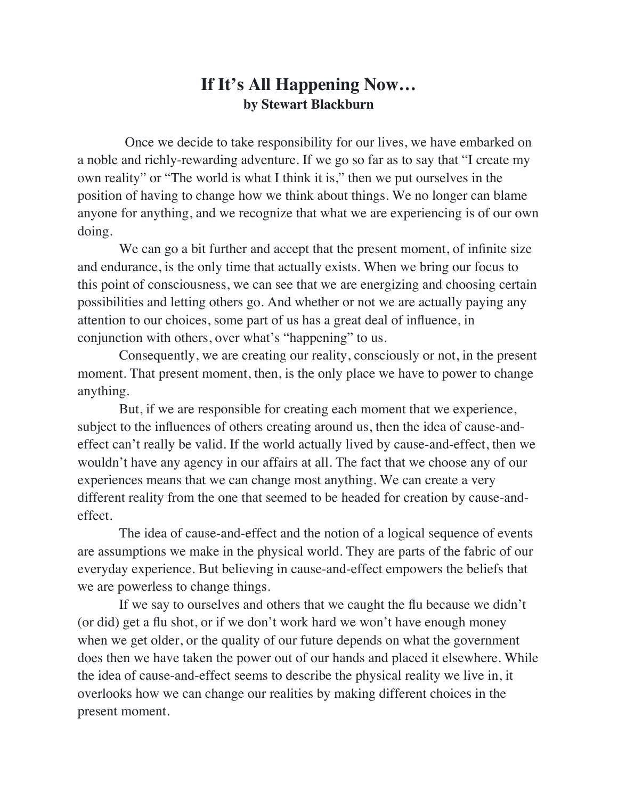## **If It's All Happening Now… by Stewart Blackburn**

 Once we decide to take responsibility for our lives, we have embarked on a noble and richly-rewarding adventure. If we go so far as to say that "I create my own reality" or "The world is what I think it is," then we put ourselves in the position of having to change how we think about things. We no longer can blame anyone for anything, and we recognize that what we are experiencing is of our own doing.

 We can go a bit further and accept that the present moment, of infinite size and endurance, is the only time that actually exists. When we bring our focus to this point of consciousness, we can see that we are energizing and choosing certain possibilities and letting others go. And whether or not we are actually paying any attention to our choices, some part of us has a great deal of influence, in conjunction with others, over what's "happening" to us.

 Consequently, we are creating our reality, consciously or not, in the present moment. That present moment, then, is the only place we have to power to change anything.

 But, if we are responsible for creating each moment that we experience, subject to the influences of others creating around us, then the idea of cause-andeffect can't really be valid. If the world actually lived by cause-and-effect, then we wouldn't have any agency in our affairs at all. The fact that we choose any of our experiences means that we can change most anything. We can create a very different reality from the one that seemed to be headed for creation by cause-andeffect.

 The idea of cause-and-effect and the notion of a logical sequence of events are assumptions we make in the physical world. They are parts of the fabric of our everyday experience. But believing in cause-and-effect empowers the beliefs that we are powerless to change things.

 If we say to ourselves and others that we caught the flu because we didn't (or did) get a flu shot, or if we don't work hard we won't have enough money when we get older, or the quality of our future depends on what the government does then we have taken the power out of our hands and placed it elsewhere. While the idea of cause-and-effect seems to describe the physical reality we live in, it overlooks how we can change our realities by making different choices in the present moment.